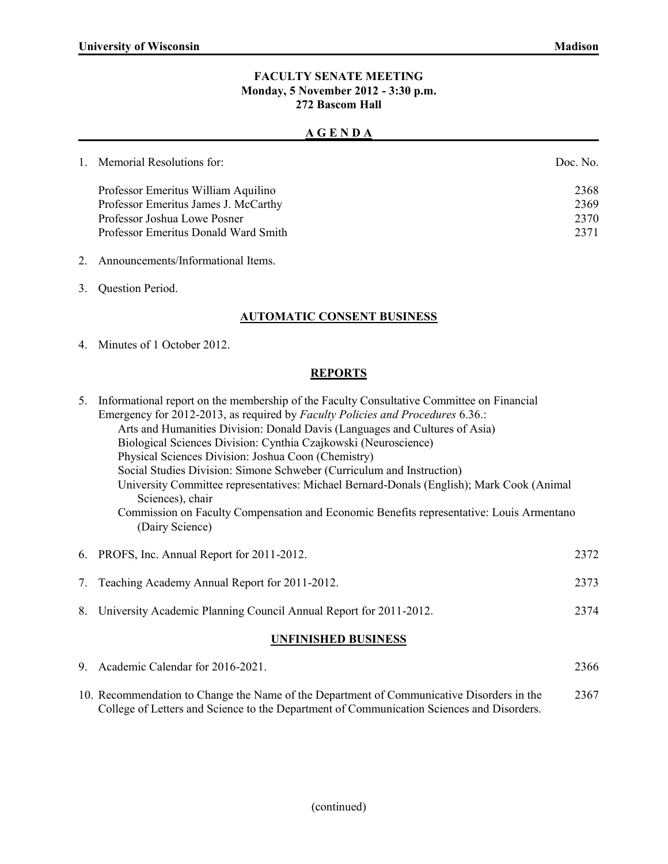### **FACULTY SENATE MEETING Monday, 5 November 2012 - 3:30 p.m. 272 Bascom Hall**

#### **A G E N D A**

| 1. Memorial Resolutions for:         | Doc. No. |
|--------------------------------------|----------|
| Professor Emeritus William Aquilino  | 2368     |
| Professor Emeritus James J. McCarthy | 2369     |
| Professor Joshua Lowe Posner         | 2370     |
| Professor Emeritus Donald Ward Smith | 2371     |
|                                      |          |

- 2. Announcements/Informational Items.
- 3. Question Period.

## **AUTOMATIC CONSENT BUSINESS**

4. Minutes of 1 October 2012.

### **REPORTS**

|                            | 5. Informational report on the membership of the Faculty Consultative Committee on Financial<br>Emergency for 2012-2013, as required by Faculty Policies and Procedures 6.36.:<br>Arts and Humanities Division: Donald Davis (Languages and Cultures of Asia)<br>Biological Sciences Division: Cynthia Czajkowski (Neuroscience)<br>Physical Sciences Division: Joshua Coon (Chemistry)<br>Social Studies Division: Simone Schweber (Curriculum and Instruction)<br>University Committee representatives: Michael Bernard-Donals (English); Mark Cook (Animal<br>Sciences), chair<br>Commission on Faculty Compensation and Economic Benefits representative: Louis Armentano<br>(Dairy Science) |      |  |  |
|----------------------------|--------------------------------------------------------------------------------------------------------------------------------------------------------------------------------------------------------------------------------------------------------------------------------------------------------------------------------------------------------------------------------------------------------------------------------------------------------------------------------------------------------------------------------------------------------------------------------------------------------------------------------------------------------------------------------------------------|------|--|--|
|                            | 6. PROFS, Inc. Annual Report for 2011-2012.                                                                                                                                                                                                                                                                                                                                                                                                                                                                                                                                                                                                                                                      | 2372 |  |  |
| 7.                         | Teaching Academy Annual Report for 2011-2012.                                                                                                                                                                                                                                                                                                                                                                                                                                                                                                                                                                                                                                                    | 2373 |  |  |
| 8.                         | University Academic Planning Council Annual Report for 2011-2012.                                                                                                                                                                                                                                                                                                                                                                                                                                                                                                                                                                                                                                | 2374 |  |  |
| <b>UNFINISHED BUSINESS</b> |                                                                                                                                                                                                                                                                                                                                                                                                                                                                                                                                                                                                                                                                                                  |      |  |  |

# 9. Academic Calendar for 2016-2021. 2366

10. Recommendation to Change the Name of the Department of Communicative Disorders in the 2367 College of Letters and Science to the Department of Communication Sciences and Disorders.